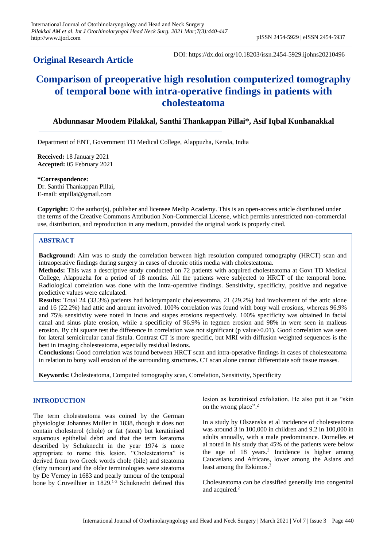# **Original Research Article**

DOI: https://dx.doi.org/10.18203/issn.2454-5929.ijohns20210496

# **Comparison of preoperative high resolution computerized tomography of temporal bone with intra-operative findings in patients with cholesteatoma**

## **Abdunnasar Moodem Pilakkal, Santhi Thankappan Pillai\*, Asif Iqbal Kunhanakkal**

Department of ENT, Government TD Medical College, Alappuzha, Kerala, India

**Received:** 18 January 2021 **Accepted:** 05 February 2021

**\*Correspondence:** Dr. Santhi Thankappan Pillai, E-mail: sttpillai@gmail.com

**Copyright:** © the author(s), publisher and licensee Medip Academy. This is an open-access article distributed under the terms of the Creative Commons Attribution Non-Commercial License, which permits unrestricted non-commercial use, distribution, and reproduction in any medium, provided the original work is properly cited.

## **ABSTRACT**

**Background:** Aim was to study the correlation between high resolution computed tomography (HRCT) scan and intraoperative findings during surgery in cases of chronic otitis media with cholesteatoma.

**Methods:** This was a descriptive study conducted on 72 patients with acquired cholesteatoma at Govt TD Medical College, Alappuzha for a period of 18 months. All the patients were subjected to HRCT of the temporal bone. Radiological correlation was done with the intra-operative findings. Sensitivity, specificity, positive and negative predictive values were calculated.

**Results:** Total 24 (33.3%) patients had holotympanic cholesteatoma, 21 (29.2%) had involvement of the attic alone and 16 (22.2%) had attic and antrum involved. 100% correlation was found with bony wall erosions, whereas 96.9% and 75% sensitivity were noted in incus and stapes erosions respectively. 100% specificity was obtained in facial canal and sinus plate erosion, while a specificity of 96.9% in tegmen erosion and 98% in were seen in malleus erosion. By chi square test the difference in correlation was not significant (p value>0.01). Good correlation was seen for lateral semicircular canal fistula. Contrast CT is more specific, but MRI with diffusion weighted sequences is the best in imaging cholesteatoma, especially residual lesions.

**Conclusions:** Good correlation was found between HRCT scan and intra-operative findings in cases of cholesteatoma in relation to bony wall erosion of the surrounding structures. CT scan alone cannot differentiate soft tissue masses.

**Keywords:** Cholesteatoma, Computed tomography scan, Correlation, Sensitivity, Specificity

## **INTRODUCTION**

The term cholesteatoma was coined by the German physiologist Johannes Muller in 1838, though it does not contain cholesterol (chole) or fat (steat) but keratinised squamous epithelial debri and that the term keratoma described by Schuknecht in the year 1974 is more appropriate to name this lesion. "Cholesteatoma" is derived from two Greek words chole (bile) and steatoma (fatty tumour) and the older terminologies were steatoma by De Verney in 1683 and pearly tumour of the temporal bone by Cruveilhier in 1829.<sup>1-3</sup> Schuknecht defined this lesion as keratinised exfoliation. He also put it as "skin on the wrong place".<sup>2</sup>

In a study by Olszenska et al incidence of cholesteatoma was around 3 in 100,000 in children and 9.2 in 100,000 in adults annually, with a male predominance. Dornelles et al noted in his study that 45% of the patients were below the age of 18 years.<sup>3</sup> Incidence is higher among Caucasians and Africans, lower among the Asians and least among the Eskimos.<sup>3</sup>

Cholesteatoma can be classified generally into congenital and acquired.<sup>2</sup>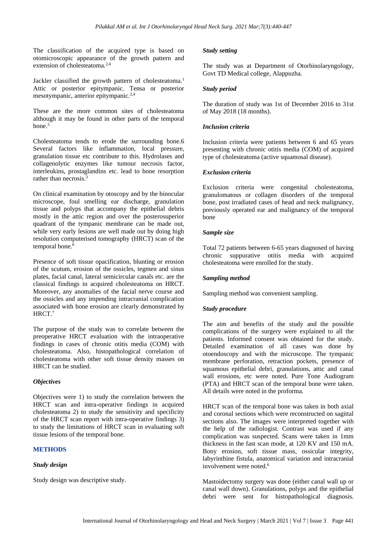The classification of the acquired type is based on otomicroscopic appearance of the growth pattern and extension of cholesteatoma.<sup>2,4</sup>

Jackler classified the growth pattern of cholesteatoma.<sup>1</sup> Attic or posterior epitympanic. Tensa or posterior mesotympanic, anterior epitympanic.<sup>2,4</sup>

These are the more common sites of cholesteatoma although it may be found in other parts of the temporal bone.<sup>5</sup>

Cholesteatoma tends to erode the surrounding bone.6 Several factors like inflammation, local pressure, granulation tissue etc contribute to this. Hydrolases and collagenolytic enzymes like tumour necrosis factor, interleukins, prostaglandins etc. lead to bone resorption rather than necrosis.<sup>3</sup>

On clinical examination by otoscopy and by the binocular microscope, foul smelling ear discharge, granulation tissue and polyps that accompany the epithelial debris mostly in the attic region and over the posterosuperior quadrant of the tympanic membrane can be made out, while very early lesions are well made out by doing high resolution computerised tomography (HRCT) scan of the temporal bone.<sup>6</sup>

Presence of soft tissue opacification, blunting or erosion of the scutum, erosion of the ossicles, tegmen and sinus plates, facial canal, lateral semicircular canals etc. are the classical findings in acquired cholesteatoma on HRCT. Moreover, any anomalies of the facial nerve course and the ossicles and any impending intracranial complication associated with bone erosion are clearly demonstrated by HRCT.<sup>7</sup>

The purpose of the study was to correlate between the preoperative HRCT evaluation with the intraoperative findings in cases of chronic otitis media (COM) with cholesteatoma. Also, histopathological correlation of cholesteatoma with other soft tissue density masses on HRCT can be studied.

## *Objectives*

Objectives were 1) to study the correlation between the HRCT scan and intra-operative findings in acquired cholesteatoma 2) to study the sensitivity and specificity of the HRCT scan report with intra-operative findings 3) to study the limitations of HRCT scan in evaluating soft tissue lesions of the temporal bone.

## **METHODS**

#### *Study design*

Study design was descriptive study.

#### *Study setting*

The study was at Department of Otorhinolaryngology, Govt TD Medical college, Alappuzha.

#### *Study period*

The duration of study was 1st of December 2016 to 31st of May 2018 (18 months).

#### *Inclusion criteria*

Inclusion criteria were patients between 6 and 65 years presenting with chronic otitis media (COM) of acquired type of cholesteatoma (active squamosal disease).

### *Exclusion criteria*

Exclusion criteria were congenital cholesteatoma, granulomatous or collagen disorders of the temporal bone, post irradiated cases of head and neck malignancy, previously operated ear and malignancy of the temporal bone

## *Sample size*

Total 72 patients between 6-65 years diagnosed of having chronic suppurative otitis media with acquired cholesteatoma were enrolled for the study.

## *Sampling method*

Sampling method was convenient sampling.

## *Study procedure*

The aim and benefits of the study and the possible complications of the surgery were explained to all the patients. Informed consent was obtained for the study. Detailed examination of all cases was done by otoendoscopy and with the microscope. The tympanic membrane perforation, retraction pockets, presence of squamous epithelial debri, granulations, attic and canal wall erosions, etc were noted. Pure Tone Audiogram (PTA) and HRCT scan of the temporal bone were taken. All details were noted in the proforma.

HRCT scan of the temporal bone was taken in both axial and coronal sections which were reconstructed on sagittal sections also. The images were interpreted together with the help of the radiologist. Contrast was used if any complication was suspected. Scans were taken in 1mm thickness in the fast scan mode, at 120 KV and 150 mA. Bony erosion, soft tissue mass, ossicular integrity, labyrinthine fistula, anatomical variation and intracranial involvement were noted.<sup>6</sup>

Mastoidectomy surgery was done (either canal wall up or canal wall down). Granulations, polyps and the epithelial debri were sent for histopathological diagnosis.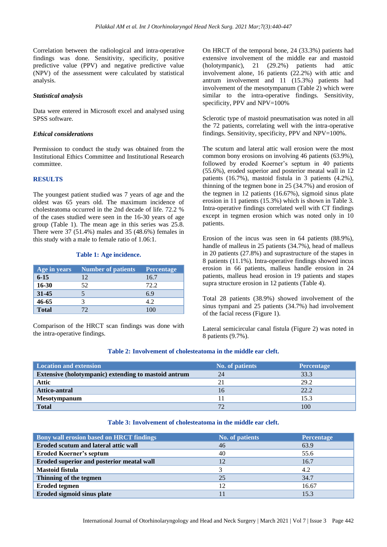Correlation between the radiological and intra-operative findings was done. Sensitivity, specificity, positive predictive value (PPV) and negative predictive value (NPV) of the assessment were calculated by statistical analysis.

#### *Statistical analysis*

Data were entered in Microsoft excel and analysed using SPSS software.

#### *Ethical considerations*

Permission to conduct the study was obtained from the Institutional Ethics Committee and Institutional Research committee.

#### **RESULTS**

The youngest patient studied was 7 years of age and the oldest was 65 years old. The maximum incidence of cholesteatoma occurred in the 2nd decade of life. 72.2 % of the cases studied were seen in the 16-30 years of age group (Table 1). The mean age in this series was 25.8. There were 37 (51.4%) males and 35 (48.6%) females in this study with a male to female ratio of 1.06:1.

#### **Table 1: Age incidence.**

| Age in years | <b>Number of patients</b> | <b>Percentage</b> |
|--------------|---------------------------|-------------------|
| $6 - 15$     | 12                        | 16.7              |
| $16 - 30$    | 52                        | 72.2              |
| $31 - 45$    |                           | 6.9               |
| 46-65        |                           | 4.2               |
| <b>Total</b> |                           |                   |

Comparison of the HRCT scan findings was done with the intra-operative findings.

On HRCT of the temporal bone, 24 (33.3%) patients had extensive involvement of the middle ear and mastoid (holotympanic), 21 (29.2%) patients had attic involvement alone, 16 patients (22.2%) with attic and antrum involvement and 11 (15.3%) patients had involvement of the mesotympanum (Table 2) which were similar to the intra-operative findings. Sensitivity, specificity, PPV and NPV=100%

Sclerotic type of mastoid pneumatisation was noted in all the 72 patients, correlating well with the intra-operative findings. Sensitivity, specificity, PPV and NPV=100%.

The scutum and lateral attic wall erosion were the most common bony erosions on involving 46 patients (63.9%), followed by eroded Koerner's septum in 40 patients (55.6%), eroded superior and posterior meatal wall in 12 patients (16.7%), mastoid fistula in 3 patients (4.2%), thinning of the tegmen bone in 25 (34.7%) and erosion of the tegmen in 12 patients (16.67%), sigmoid sinus plate erosion in 11 patients (15.3%) which is shown in Table 3. Intra-operative findings correlated well with CT findings except in tegmen erosion which was noted only in 10 patients.

Erosion of the incus was seen in 64 patients (88.9%), handle of malleus in 25 patients (34.7%), head of malleus in 20 patients (27.8%) and suprastructure of the stapes in 8 patients (11.1%). Intra-operative findings showed incus erosion in 66 patients, malleus handle erosion in 24 patients, malleus head erosion in 19 patients and stapes supra structure erosion in 12 patients (Table 4).

Total 28 patients (38.9%) showed involvement of the sinus tympani and 25 patients (34.7%) had involvement of the facial recess (Figure 1).

Lateral semicircular canal fistula (Figure 2) was noted in 8 patients (9.7%).

## **Table 2: Involvement of cholesteatoma in the middle ear cleft.**

| <b>Location and extension</b>                               | <b>No. of patients</b> | <b>Percentage</b> |
|-------------------------------------------------------------|------------------------|-------------------|
| <b>Extensive (holotympanic) extending to mastoid antrum</b> | 24                     | 33.3              |
| Attic                                                       | 21                     | 29.2              |
| Attico-antral                                               | 16                     | 22.2              |
| <b>Mesotympanum</b>                                         |                        | 15.3              |
| <b>Total</b>                                                | 72                     | 100               |

#### **Table 3: Involvement of cholesteatoma in the middle ear cleft.**

| <b>Bony wall erosion based on HRCT findings</b> | <b>No. of patients</b> | <b>Percentage</b> |
|-------------------------------------------------|------------------------|-------------------|
| Eroded scutum and lateral attic wall            | 46                     | 63.9              |
| <b>Eroded Koerner's septum</b>                  | 40                     | 55.6              |
| Eroded superior and posterior meatal wall       | 12                     | 16.7              |
| <b>Mastoid fistula</b>                          |                        | 4.2               |
| Thinning of the tegmen                          | 25                     | 34.7              |
| <b>Eroded tegmen</b>                            | 12                     | 16.67             |
| Eroded sigmoid sinus plate                      |                        | 15.3              |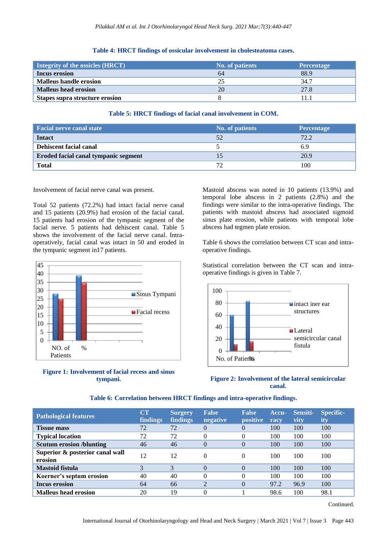|  |  |  |  | Table 4: HRCT findings of ossicular involvement in cholesteatoma cases. |  |
|--|--|--|--|-------------------------------------------------------------------------|--|
|--|--|--|--|-------------------------------------------------------------------------|--|

| Integrity of the ossicles (HRCT) | <b>No. of patients</b> | <b>Percentage</b> |
|----------------------------------|------------------------|-------------------|
| Incus erosion                    | 64                     | 88.9              |
| <b>Malleus handle erosion</b>    |                        | 34.7              |
| <b>Malleus head erosion</b>      | 20                     | 27.8              |
| Stapes supra structure erosion   |                        |                   |

## **Table 5: HRCT findings of facial canal involvement in COM.**

| Facial nerve canal state             | <b>No. of patients</b> | <b>Percentage</b> |
|--------------------------------------|------------------------|-------------------|
| <b>Intact</b>                        |                        | 72.2              |
| Dehiscent facial canal               |                        | 6.9               |
| Eroded facial canal tympanic segment |                        | 20.9              |
| <b>Total</b>                         |                        | 100               |

Involvement of facial nerve canal was present.

Total 52 patients (72.2%) had intact facial nerve canal and 15 patients (20.9%) had erosion of the facial canal. 15 patients had erosion of the tympanic segment of the facial nerve. 5 patients had dehiscent canal. Table 5 shows the involvement of the facial nerve canal. Intraoperatively, facial canal was intact in 50 and eroded in the tympanic segment in17 patients.





Mastoid abscess was noted in 10 patients (13.9%) and temporal lobe abscess in 2 patients (2.8%) and the findings were similar to the intra-operative findings. The patients with mastoid abscess had associated sigmoid sinus plate erosion, while patients with temporal lobe abscess had tegmen plate erosion.

Table 6 shows the correlation between CT scan and intraoperative findings.

Statistical correlation between the CT scan and intraoperative findings is given in Table 7.





| <b>Pathological features</b>               | $\mathbf{C}\mathbf{T}$<br>findings | <b>Surgery</b><br><b>findings</b> | <b>False</b><br>negative | <b>False</b><br><b>positive</b> | Accu-<br>racv | Sensiti-<br>vity | Specific-<br>ity |
|--------------------------------------------|------------------------------------|-----------------------------------|--------------------------|---------------------------------|---------------|------------------|------------------|
| <b>Tissue mass</b>                         | 72                                 | 72                                | 0                        | 0                               | 100           | 100              | 100              |
| <b>Typical location</b>                    | 72                                 | 72                                | 0                        |                                 | 100           | 100              | 100              |
| <b>Scutum erosion /blunting</b>            | 46                                 | 46                                | 0                        |                                 | 100           | 100              | 100              |
| Superior & posterior canal wall<br>erosion | 12                                 | 12                                | 0                        | $\Omega$                        | 100           | 100              | 100              |
| <b>Mastoid fistula</b>                     |                                    | 3                                 | $\theta$                 | $\Omega$                        | 100           | 100              | 100              |
| Koerner's septum erosion                   | 40                                 | 40                                | 0                        | 0                               | 100           | 100              | 100              |
| <b>Incus erosion</b>                       | 64                                 | 66                                | 2                        |                                 | 97.2          | 96.9             | 100              |
| <b>Malleus head erosion</b>                | 20                                 | 19                                | 0                        |                                 | 98.6          | 100              | 98.1             |

## **Table 6: Correlation between HRCT findings and intra-operative findings.**

Continued.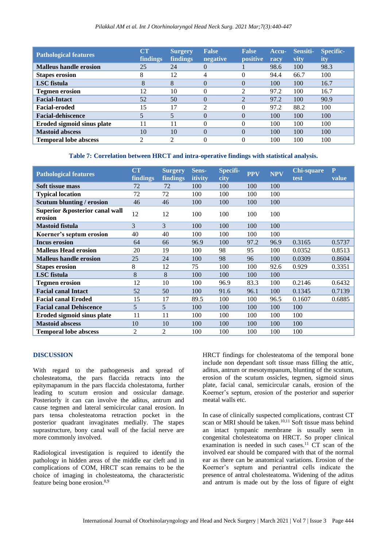#### *Pilakkal AM et al. Int J Otorhinolaryngol Head Neck Surg. 2021 Mar;7(3):440-447*

| <b>Pathological features</b>  | $\mathbf{C}\mathbf{T}$<br><b>findings</b> | <b>Surgery</b><br>findings | <b>False</b><br>negative | <b>False</b><br><i>positive</i> | Accu-<br>racv | Sensiti-<br>vity | Specific-<br>ity |
|-------------------------------|-------------------------------------------|----------------------------|--------------------------|---------------------------------|---------------|------------------|------------------|
| <b>Malleus handle erosion</b> | 25                                        | 24                         | 0                        |                                 | 98.6          | 100              | 98.3             |
| <b>Stapes erosion</b>         | 8                                         | 12                         | 4                        |                                 | 94.4          | 66.7             | 100              |
| LSC fistula                   | 8                                         | 8                          | $\theta$                 |                                 | 100           | 100              | 16.7             |
| <b>Tegmen erosion</b>         | 12                                        | 10                         | 0                        |                                 | 97.2          | 100              | 16.7             |
| <b>Facial-Intact</b>          | 52                                        | 50                         | $\theta$                 | $\mathcal{L}$                   | 97.2          | 100              | 90.9             |
| <b>Facial-eroded</b>          | 15                                        | 17                         | 2                        |                                 | 97.2          | 88.2             | 100              |
| <b>Facial-dehiscence</b>      |                                           |                            | $\Omega$                 |                                 | 100           | 100              | 100              |
| Eroded sigmoid sinus plate    | 11                                        | 11                         | 0                        |                                 | 100           | 100              | 100              |
| <b>Mastoid abscess</b>        | 10                                        | 10                         | $\Omega$                 | $\Omega$                        | 100           | 100              | 100              |
| <b>Temporal lobe abscess</b>  | $\mathcal{D}_{\mathcal{L}}$               | 2                          | 0                        |                                 | 100           | 100              | 100              |

**Table 7: Correlation between HRCT and intra-operative findings with statistical analysis.**

| <b>Pathological features</b>                         | CT<br><b>findings</b> | <b>Surgery</b><br>findings | Sens-<br><i>itivity</i> | <b>Specifi-</b><br>city | <b>PPV</b> | <b>NPV</b> | <b>Chi-square</b><br>test | ${\bf P}$<br>value |
|------------------------------------------------------|-----------------------|----------------------------|-------------------------|-------------------------|------------|------------|---------------------------|--------------------|
| Soft tissue mass                                     | 72                    | 72                         | 100                     | 100                     | 100        | 100        |                           |                    |
| <b>Typical location</b>                              | 72                    | 72                         | 100                     | 100                     | 100        | 100        |                           |                    |
| <b>Scutum blunting / erosion</b>                     | 46                    | 46                         | 100                     | 100                     | 100        | 100        |                           |                    |
| <b>Superior &amp;posterior canal wall</b><br>erosion | 12                    | 12                         | 100                     | 100                     | 100        | 100        |                           |                    |
| <b>Mastoid fistula</b>                               | 3                     | 3                          | 100                     | 100                     | 100        | 100        |                           |                    |
| Koerner's septum erosion                             | 40                    | 40                         | 100                     | 100                     | 100        | 100        |                           |                    |
| <b>Incus erosion</b>                                 | 64                    | 66                         | 96.9                    | 100                     | 97.2       | 96.9       | 0.3165                    | 0.5737             |
| <b>Malleus Head erosion</b>                          | 20                    | 19                         | 100                     | 98                      | 95         | 100        | 0.0352                    | 0.8513             |
| <b>Malleus handle erosion</b>                        | 25                    | 24                         | 100                     | 98                      | 96         | 100        | 0.0309                    | 0.8604             |
| <b>Stapes erosion</b>                                | 8                     | 12                         | 75                      | 100                     | 100        | 92.6       | 0.929                     | 0.3351             |
| LSC fistula                                          | 8                     | 8                          | 100                     | 100                     | 100        | 100        |                           |                    |
| <b>Tegmen erosion</b>                                | 12                    | 10                         | 100                     | 96.9                    | 83.3       | 100        | 0.2146                    | 0.6432             |
| <b>Facial canal Intact</b>                           | 52                    | 50                         | 100                     | 91.6                    | 96.1       | 100        | 0.1345                    | 0.7139             |
| <b>Facial canal Eroded</b>                           | 15                    | 17                         | 89.5                    | 100                     | 100        | 96.5       | 0.1607                    | 0.6885             |
| <b>Facial canal Dehiscence</b>                       | 5                     | 5                          | 100                     | 100                     | 100        | 100        | 100                       |                    |
| Eroded sigmoid sinus plate                           | 11                    | 11                         | 100                     | 100                     | 100        | 100        | 100                       |                    |
| <b>Mastoid abscess</b>                               | 10                    | 10                         | 100                     | 100                     | 100        | 100        | 100                       |                    |
| <b>Temporal lobe abscess</b>                         | 2                     | 2                          | 100                     | 100                     | 100        | 100        | 100                       |                    |

#### **DISCUSSION**

With regard to the pathogenesis and spread of cholesteatoma, the pars flaccida retracts into the epitymapanum in the pars flaccida cholestatoma, further leading to scutum erosion and ossicular damage. Posteriorly it can can involve the aditus, antrum and cause tegmen and lateral semicircular canal erosion. In pars tensa cholesteatoma retraction pocket in the posterior quadrant invaginates medially. The stapes suprastructure, bony canal wall of the facial nerve are more commonly involved.

Radiological investigation is required to identify the pathology in hidden areas of the middle ear cleft and in complications of COM, HRCT scan remains to be the choice of imaging in cholesteatoma, the characteristic feature being bone erosion.8,9

HRCT findings for cholesteatoma of the temporal bone include non dependant soft tissue mass filling the attic, aditus, antrum or mesotympanum, blunting of the scutum, erosion of the scutum ossicles, tegmen, sigmoid sinus plate, facial canal, semicircular canals, erosion of the Koerner's septum, erosion of the posterior and superior meatal walls etc.

In case of clinically suspected complications, contrast CT scan or MRI should be taken.<sup>10,11</sup> Soft tissue mass behind an intact tympanic membrane is usually seen in congenital cholesteatoma on HRCT. So proper clinical examination is needed in such cases.<sup>11</sup>  $CT$  scan of the involved ear should be compared with that of the normal ear as there can be anatomical variations. Erosion of the Koerner's septum and periantral cells indicate the presence of antral cholesteatoma. Widening of the aditus and antrum is made out by the loss of figure of eight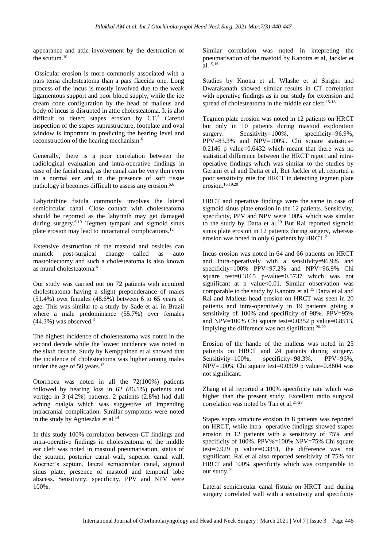appearance and attic involvement by the destruction of the scutum.<sup>10</sup>

Ossicular erosion is more commonly associated with a pars tensa cholesteatoma than a pars flaccida one. Long process of the incus is mostly involved due to the weak ligamentous support and poor blood supply, while the ice cream cone configuration by the head of malleus and body of incus is disrupted in attic cholesteatoma. It is also difficult to detect stapes erosion by  $CT<sup>5</sup>$  Careful inspection of the stapes suprastructure, footplate and oval window is important in predicting the hearing level and reconstruction of the hearing mechanism.<sup>6</sup>

Generally, there is a poor correlation between the radiological evaluation and intra-operative findings in case of the facial canal, as the canal can be very thin even in a normal ear and in the presence of soft tissue pathology it becomes difficult to assess any erosion.5,6

Labyrinthine fistula commonly involves the lateral semicircular canal. Close contact with cholesteatoma should be reported as the labyrinth may get damaged during surgery.<sup>6,10</sup> Tegmen tympani and sigmoid sinus plate erosion may lead to intracranial complications.<sup>12</sup>

Extensive destruction of the mastoid and ossicles can mimick post-surgical change called as auto mastoidectomy and such a cholesteatoma is also known as mural cholesteatoma.<sup>6</sup>

Our study was carried out on 72 patients with acquired cholesteatoma having a slight preponderance of males (51.4%) over females (48.6%) between 6 to 65 years of age. This was similar to a study by Sade et al. in Brazil where a male predominance (55.7%) over females  $(44.3\%)$  was observed.<sup>3</sup>

The highest incidence of cholesteatoma was noted in the second decade while the lowest incidence was noted in the sixth decade. Study by Kemppainen et al showed that the incidence of cholesteatoma was higher among males under the age of 50 years.<sup>13</sup>

Otorrhoea was noted in all the 72(100%) patients followed by hearing loss in 62 (86.1%) patients and vertigo in 3 (4.2%) patients. 2 patients (2.8%) had dull aching otalgia which was suggestive of impending intracranial complication. Similar symptoms were noted in the study by Agnieszka et al.<sup>14</sup>

In this study 100% correlation between CT findings and intra-operative findings in cholesteatoma of the middle ear cleft was noted in mastoid pneumatisation, status of the scutum, posterior canal wall, superior canal wall, Koerner's septum, lateral semicircular canal, sigmoid sinus plate, presence of mastoid and temporal lobe abscess. Sensitivity, specificity, PPV and NPV were 100%.

Similar correlation was noted in intepreting the pneumatisation of the mastoid by Kanotra et al, Jackler et  $a$ l.<sup>15,16</sup>

Studies by Knotra et al, Wlashe et al Sirigiri and Dwarakanath showed similar results in CT correlation with operative findings as in our study for extension and spread of cholesteatoma in the middle ear cleft.<sup>15-18</sup>

Tegmen plate erosion was noted in 12 patients on HRCT but only in 10 patients during mastoid exploration surgery. Sensitivity=100%, specificity=96.9%, PPV=83.3% and NPV=100%. Chi square statistics= 0.2146 p value=0.6432 which meant that there was no statistical difference between the HRCT report and intraoperative findings which was similar to the studies by Gerami et al and Datta et al, But Jackler et al. reported a poor sensitivity rate for HRCT in detecting tegmen plate erosion.16,19,20

HRCT and operative findings were the same in case of sigmoid sinus plate erosion in the 12 patients. Sensitivity, specificity, PPV and NPV were 100% which was similar to the study by Datta et al.<sup>20</sup> But Rai reported sigmoid sinus plate erosion in 12 patients during surgery, whereas erosion was noted in only 6 patients by HRCT.<sup>21</sup>

Incus erosion was noted in 64 and 66 patients on HRCT and intra-operatively with a sensitivity=96.9% and specificity=100% PPV=97.2% and NPV=96.9% Chi square test= $0.3165$  p-value= $0.5737$  which was not significant at p value<0.01. Similar observation was comparable to the study by Kanotra et al.<sup>15</sup> Datta et al and Rai and Malleus head erosion on HRCT was seen in 20 patients and intra-operatively in 19 patients giving a sensitivity of 100% and specificity of 98%. PPV=95% and NPV=100% Chi square test=0.0352 p value=0.8513, implying the difference was not significant.20-22

Erosion of the hande of the malleus was noted in 25 patients on HRCT and 24 patients during surgery. Sensitivity=100%, specificity=98.3%, PPV=96%, NPV=100% Chi square test=0.0309 p value=0.8604 was not significant.

Zhang et al reported a 100% specificity rate which was higher than the present study. Excellent radio surgical correlation was noted by Tan et al. 21-23

Stapes supra structure erosion in 8 patients was reported on HRCT, while intra- operative findings showed stapes erosion in 12 patients with a sensitivity of 75% and specificity of 100%. PPV%=100% NPV=75% Chi square test=0.929 p value=0.3351, the difference was not significant. Rai et al also reported sensitivity of 75% for HRCT and 100% specificity which was comparable to our study.<sup>21</sup>

Lateral semicircular canal fistula on HRCT and during surgery correlated well with a sensitivity and specificity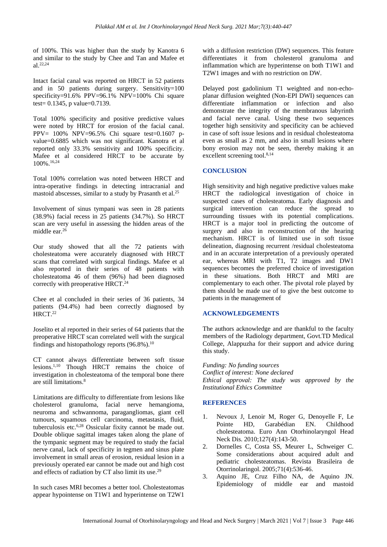of 100%. This was higher than the study by Kanotra 6 and similar to the study by Chee and Tan and Mafee et al.22,24

Intact facial canal was reported on HRCT in 52 patients and in 50 patients during surgery. Sensitivity=100 specificity=91.6% PPV=96.1% NPV=100% Chi square test= 0.1345, p value=0.7139.

Total 100% specificity and positive predictive values were noted by HRCT for erosion of the facial canal. PPV= 100% NPV=96.5% Chi square test=0.1607 pvalue=0.6885 which was not significant. Kanotra et al reported only 33.3% sensitivity and 100% specificity. Mafee et al considered HRCT to be accurate by 100%.16,24

Total 100% correlation was noted between HRCT and intra-operative findings in detecting intracranial and mastoid abscesses, similar to a study by Prasanth et al.<sup>25</sup>

Involvement of sinus tympani was seen in 28 patients (38.9%) facial recess in 25 patients (34.7%). So HRCT scan are very useful in assessing the hidden areas of the middle ear. $26$ 

Our study showed that all the 72 patients with cholesteatoma were accurately diagnosed with HRCT scans that correlated with surgical findings. Mafee et al also reported in their series of 48 patients with cholesteatoma 46 of them (96%) had been diagnosed correctly with preoperative HRCT.<sup>24</sup>

Chee et al concluded in their series of 36 patients, 34 patients (94.4%) had been correctly diagnosed by HRCT.<sup>22</sup>

Joselito et al reported in their series of 64 patients that the preoperative HRCT scan correlated well with the surgical findings and histopathology reports  $(96.8\%)$ .<sup>10</sup>

CT cannot always differentiate between soft tissue lesions.1,10 Though HRCT remains the choice of investigation in cholesteatoma of the temporal bone there are still limitations.<sup>8</sup>

Limitations are difficulty to differentiate from lesions like cholesterol granuloma, facial nerve hemangioma, neuroma and schwannoma, paragangliomas, giant cell tumours, squamous cell carcinoma, metastasis, fluid, tuberculosis etc.6,28 Ossicular fixity cannot be made out. Double oblique sagittal images taken along the plane of the tympanic segment may be required to study the facial nerve canal, lack of specificity in tegmen and sinus plate involvement in small areas of erosion, residual lesion in a previously operated ear cannot be made out and high cost and effects of radiation by CT also limit its use.<sup>29</sup>

In such cases MRI becomes a better tool. Cholesteatomas appear hypointense on T1W1 and hyperintense on T2W1

with a diffusion restriction (DW) sequences. This feature differentiates it from cholesterol granuloma and inflammation which are hyperintense on both T1W1 and T2W1 images and with no restriction on DW.

Delayed post gadolinium T1 weighted and non-echoplanar diffusion weighted (Non-EPI DWI) sequences can differentiate inflammation or infection and also demonstrate the integrity of the membranous labyrinth and facial nerve canal. Using these two sequences together high sensitivity and specificity can be achieved in case of soft issue lesions and in residual cholesteatoma even as small as 2 mm, and also in small lesions where bony erosion may not be seen, thereby making it an excellent screening tool.<sup>8,14</sup>

#### **CONCLUSION**

High sensitivity and high negative predictive values make HRCT the radiological investigation of choice in suspected cases of cholesteatoma. Early diagnosis and surgical intervention can reduce the spread to surrounding tissues with its potential complications. HRCT is a major tool in predicting the outcome of surgery and also in reconstruction of the hearing mechanism. HRCT is of limited use in soft tissue delineation, diagnosing recurrent /residual cholesteatoma and in an accurate interpretation of a previously operated ear, whereas MRI with T1, T2 images and DW1 sequences becomes the preferred choice of investigation in these situations. Both HRCT and MRI are complementary to each other. The pivotal role played by them should be made use of to give the best outcome to patients in the management of

#### **ACKNOWLEDGEMENTS**

The authors acknowledge and are thankful to the faculty members of the Radiology department, Govt.TD Medical College, Alappuzha for their support and advice during this study.

*Funding: No funding sources Conflict of interest: None declared Ethical approval: The study was approved by the Institutional Ethics Committee*

#### **REFERENCES**

- 1. Nevoux J, Lenoir M, Roger G, Denoyelle F, Le Pointe HD, Garabédian EN. Childhood cholesteatoma. Euro Ann Otorhinolaryngol Head Neck Dis. 2010;127(4):143-50.
- 2. Dornelles C, Costa SS, Meurer L, Schweiger C. Some considerations about acquired adult and pediatric cholesteatomas. Revista Brasileira de Otorrinolaringol. 2005;71(4):536-46.
- 3. Aquino JE, Cruz Filho NA, de Aquino JN. Epidemiology of middle ear and mastoid